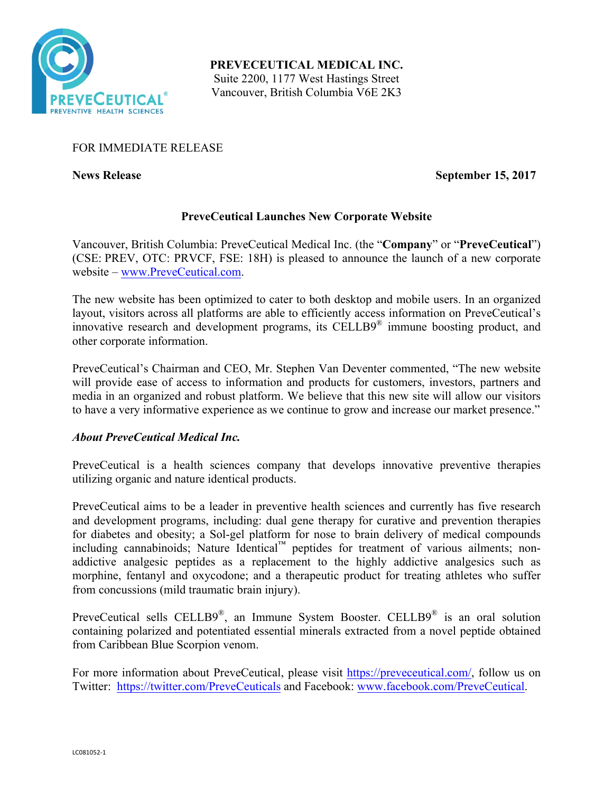

**PREVECEUTICAL MEDICAL INC.** Suite 2200, 1177 West Hastings Street Vancouver, British Columbia V6E 2K3

# FOR IMMEDIATE RELEASE

**News Release September 15, 2017** 

# **PreveCeutical Launches New Corporate Website**

Vancouver, British Columbia: PreveCeutical Medical Inc. (the "**Company**" or "**PreveCeutical**") (CSE: PREV, OTC: PRVCF, FSE: 18H) is pleased to announce the launch of a new corporate website – www.PreveCeutical.com.

The new website has been optimized to cater to both desktop and mobile users. In an organized layout, visitors across all platforms are able to efficiently access information on PreveCeutical's innovative research and development programs, its CELLB9® immune boosting product, and other corporate information.

PreveCeutical's Chairman and CEO, Mr. Stephen Van Deventer commented, "The new website will provide ease of access to information and products for customers, investors, partners and media in an organized and robust platform. We believe that this new site will allow our visitors to have a very informative experience as we continue to grow and increase our market presence."

## *About PreveCeutical Medical Inc.*

PreveCeutical is a health sciences company that develops innovative preventive therapies utilizing organic and nature identical products.

PreveCeutical aims to be a leader in preventive health sciences and currently has five research and development programs, including: dual gene therapy for curative and prevention therapies for diabetes and obesity; a Sol-gel platform for nose to brain delivery of medical compounds including cannabinoids; Nature Identical™ peptides for treatment of various ailments; nonaddictive analgesic peptides as a replacement to the highly addictive analgesics such as morphine, fentanyl and oxycodone; and a therapeutic product for treating athletes who suffer from concussions (mild traumatic brain injury).

PreveCeutical sells CELLB9®, an Immune System Booster. CELLB9® is an oral solution containing polarized and potentiated essential minerals extracted from a novel peptide obtained from Caribbean Blue Scorpion venom.

For more information about PreveCeutical, please visit https://preveceutical.com/, follow us on Twitter: https://twitter.com/PreveCeuticals and Facebook: www.facebook.com/PreveCeutical.